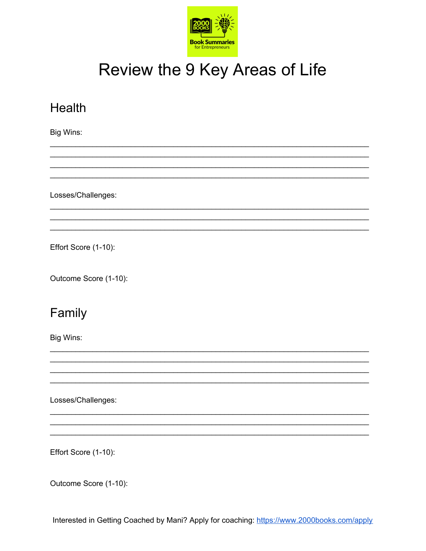

# Review the 9 Key Areas of Life

| Health                |
|-----------------------|
| Big Wins:             |
|                       |
|                       |
|                       |
| Losses/Challenges:    |
|                       |
|                       |
| Effort Score (1-10):  |
| Outcome Score (1-10): |
| Family                |
| Big Wins:             |
|                       |
|                       |
|                       |
| Losses/Challenges:    |
|                       |
|                       |

Effort Score (1-10):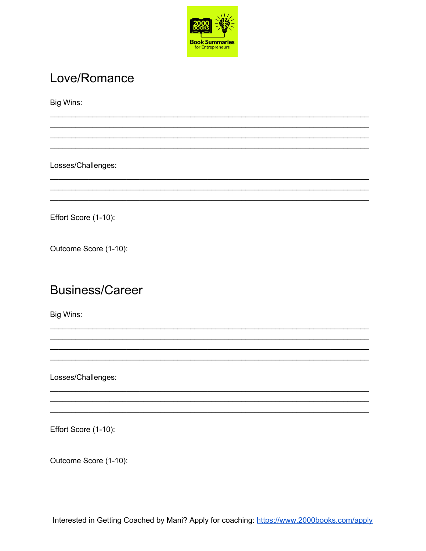

## Love/Romance

Big Wins:

Losses/Challenges:

Effort Score (1-10):

Outcome Score (1-10):

#### **Business/Career**

Big Wins:

Losses/Challenges:

Effort Score (1-10):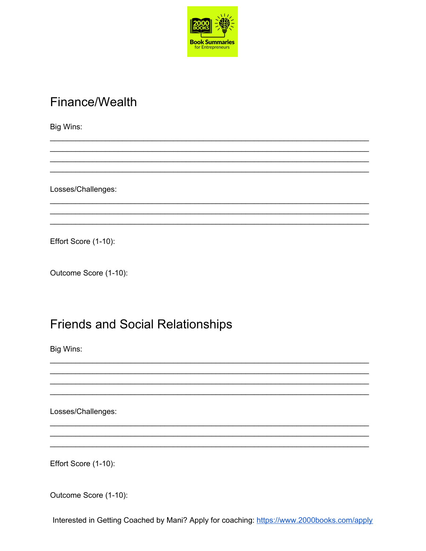

## Finance/Wealth

Big Wins:

Losses/Challenges:

Effort Score (1-10):

Outcome Score (1-10):

#### **Friends and Social Relationships**

Big Wins:

Losses/Challenges:

Effort Score (1-10):

Outcome Score (1-10):

Interested in Getting Coached by Mani? Apply for coaching: https://www.2000books.com/apply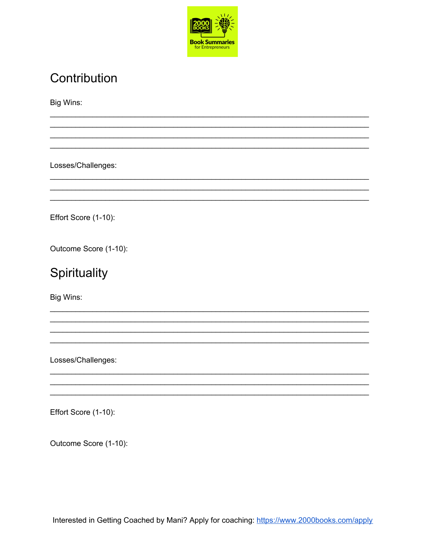

## Contribution

Big Wins:

Losses/Challenges:

Effort Score (1-10):

Outcome Score (1-10):

## Spirituality

Big Wins:

Losses/Challenges:

Effort Score (1-10):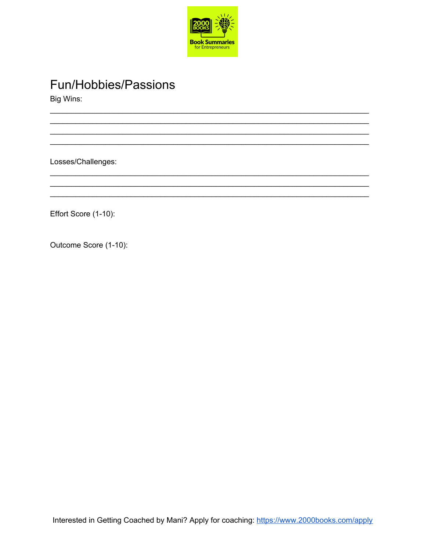

**Fun/Hobbies/Passions** 

Big Wins:

Losses/Challenges:

Effort Score (1-10):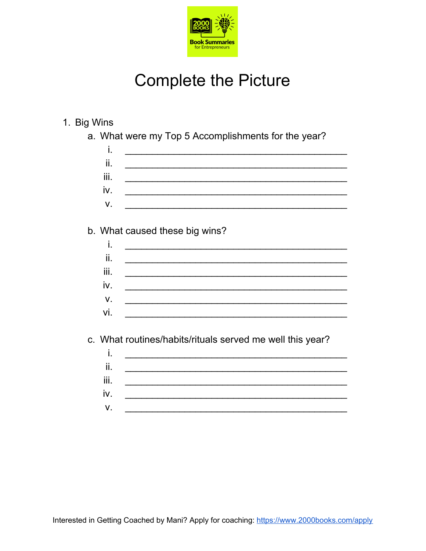

# **Complete the Picture**

| 1. Big Wins |  |
|-------------|--|
|-------------|--|

a. What were my Top 5 Accomplishments for the year?

| i.   |                                                                                                                                                                                                                                                                                                                                                                                                                                                                                                                        |
|------|------------------------------------------------------------------------------------------------------------------------------------------------------------------------------------------------------------------------------------------------------------------------------------------------------------------------------------------------------------------------------------------------------------------------------------------------------------------------------------------------------------------------|
| ii.  |                                                                                                                                                                                                                                                                                                                                                                                                                                                                                                                        |
| iii. | $\begin{array}{cccccccccc} \hline \end{array} \hspace{0.27em} \begin{array}{cccccccccc} \hline \end{array} \hspace{0.27em} \begin{array}{cccccccccc} \hline \end{array} \hspace{0.27em} \begin{array}{cccccccccc} \hline \end{array} \hspace{0.27em} \begin{array}{cccccccccc} \hline \end{array} \hspace{0.27em} \begin{array}{cccccccccc} \hline \end{array} \hspace{0.27em} \begin{array}{cccccccccc} \hline \end{array} \hspace{0.27em} \begin{array}{cccccccccc} \hline \end{array} \hspace{0.27em} \begin{array$ |
| iv.  | <u> 1989 - Johann John Stoff, mars ar yn y breninnas y ddysg</u>                                                                                                                                                                                                                                                                                                                                                                                                                                                       |
| V.   | <u> 1980 - Jan Barbara Barbara, manazarta da kasas da kasas da kasas da kasas da kasas da kasas da kasas da kasa</u>                                                                                                                                                                                                                                                                                                                                                                                                   |
|      |                                                                                                                                                                                                                                                                                                                                                                                                                                                                                                                        |
|      | b. What caused these big wins?                                                                                                                                                                                                                                                                                                                                                                                                                                                                                         |
| i.   |                                                                                                                                                                                                                                                                                                                                                                                                                                                                                                                        |
| ii.  |                                                                                                                                                                                                                                                                                                                                                                                                                                                                                                                        |
| iii. |                                                                                                                                                                                                                                                                                                                                                                                                                                                                                                                        |
| iv.  |                                                                                                                                                                                                                                                                                                                                                                                                                                                                                                                        |
| V.   |                                                                                                                                                                                                                                                                                                                                                                                                                                                                                                                        |
| vi.  |                                                                                                                                                                                                                                                                                                                                                                                                                                                                                                                        |

c. What routines/habits/rituals served me well this year?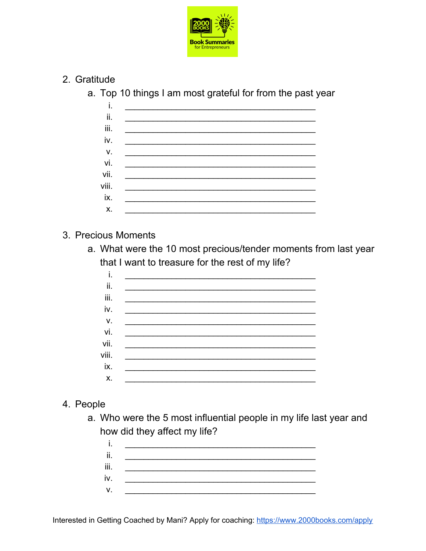

- 2. Gratitude
	- a. Top 10 things I am most grateful for from the past year

#### 3. Precious Moments

a. What were the 10 most precious/tender moments from last year that I want to treasure for the rest of my life?

#### 4. People

a. Who were the 5 most influential people in my life last year and how did they affect my life?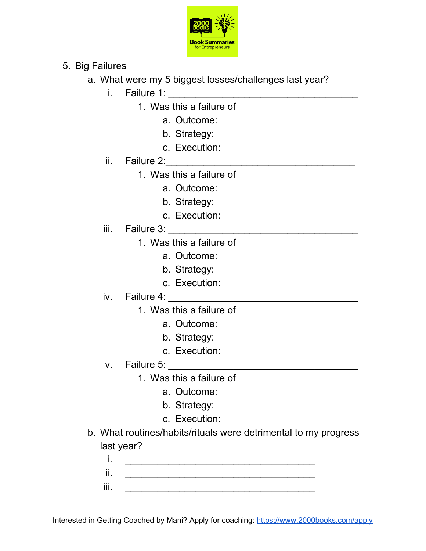

- 5. Big Failures
	- a. What were my 5 biggest losses/challenges last year?
		- i. Failure 1: \_\_\_\_\_\_\_\_\_\_\_\_\_\_\_\_\_\_\_\_\_\_\_\_\_\_\_\_\_\_\_\_\_\_\_
			- 1. Was this a failure of
				- a. Outcome:
				- b. Strategy:
				- c. Execution:
		- ii. Failure 2: $\Box$ 
			- 1. Was this a failure of
				- a. Outcome:
				- b. Strategy:
				- c. Execution:
		- iii. Failure 3: \_\_\_\_\_\_\_\_\_\_\_\_\_\_\_\_\_\_\_\_\_\_\_\_\_\_\_\_\_\_\_\_\_\_\_
			- 1. Was this a failure of
				- a. Outcome:
				- b. Strategy:
				- c. Execution:
		- iv. Failure 4: \_\_\_\_\_\_\_\_\_\_\_\_\_\_\_\_\_\_\_\_\_\_\_\_\_\_\_\_\_\_\_\_\_\_\_
			- 1. Was this a failure of
				- a. Outcome:
				- b. Strategy:
				- c. Execution:
		- v. Failure 5: \_\_\_\_\_\_\_\_\_\_\_\_\_\_\_\_\_\_\_\_\_\_\_\_\_\_\_\_\_\_\_\_\_\_\_
			- 1. Was this a failure of
				- a. Outcome:
				- b. Strategy:
				- c. Execution:
	- b. What routines/habits/rituals were detrimental to my progress last year?
		- i. \_\_\_\_\_\_\_\_\_\_\_\_\_\_\_\_\_\_\_\_\_\_\_\_\_\_\_\_\_\_\_\_\_\_\_ ii.  $\blacksquare$ iii. \_\_\_\_\_\_\_\_\_\_\_\_\_\_\_\_\_\_\_\_\_\_\_\_\_\_\_\_\_\_\_\_\_\_\_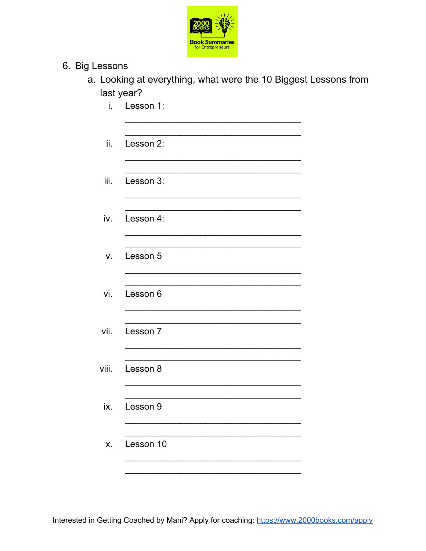

- 6. Big Lessons
	- a. Looking at everything, what were the 10 Biggest Lessons from last year?
		- i. Lesson 1:

| Lesson 2: |  |
|-----------|--|
|-----------|--|

iii. Lesson 3:

iv. Lesson 4:

v. Lesson 5

vi. Lesson 6

Lesson 7 vii.

viii. Lesson 8

Lesson 9 ix.

X. Lesson 10